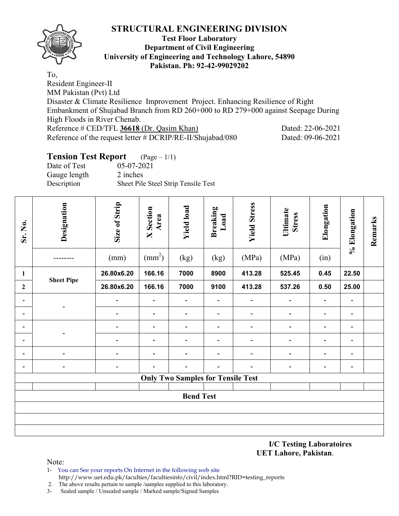

#### **Test Floor Laboratory Department of Civil Engineering University of Engineering and Technology Lahore, 54890 Pakistan. Ph: 92-42-99029202**

To, Resident Engineer-II MM Pakistan (Pvt) Ltd Disaster & Climate Resilience Improvement Project. Enhancing Resilience of Right Embankment of Shujabad Branch from RD 260+000 to RD 279+000 against Seepage During High Floods in River Chenab. Reference # CED/TFL **36618** (Dr. Qasim Khan) Dated: 22-06-2021 Reference of the request letter # DCRIP/RE-II/Shujabad/080 Dated: 09-06-2021

### **Tension Test Report** (Page – 1/1)

Date of Test 05-07-2021 Gauge length 2 inches Description Sheet Pile Steel Strip Tensile Test

| Sr. No.                  | Designation                              | Size of Strip            | Section<br>Area<br>$\mathsf{X}$ | <b>Yield load</b>        | <b>Breaking</b><br>Load  | <b>Yield Stress</b>          | Ultimate<br><b>Stress</b> | Elongation               | % Elongation             | Remarks |  |  |  |
|--------------------------|------------------------------------------|--------------------------|---------------------------------|--------------------------|--------------------------|------------------------------|---------------------------|--------------------------|--------------------------|---------|--|--|--|
|                          |                                          | (mm)                     | $\text{(mm}^2)$                 | (kg)                     | (kg)                     | (MPa)                        | (MPa)                     | (in)                     |                          |         |  |  |  |
| $\mathbf{1}$             | <b>Sheet Pipe</b>                        | 26.80x6.20               | 166.16                          | 7000                     | 8900                     | 413.28                       | 525.45                    | 0.45                     | 22.50                    |         |  |  |  |
| $\overline{2}$           |                                          | 26.80x6.20               | 166.16                          | 7000                     | 9100                     | 413.28                       | 537.26                    | 0.50                     | 25.00                    |         |  |  |  |
| $\overline{\phantom{a}}$ |                                          | $\overline{\phantom{a}}$ | $\overline{\phantom{a}}$        | $\overline{\phantom{a}}$ | $\overline{\phantom{0}}$ | $\overline{\phantom{a}}$     |                           |                          | $\overline{\phantom{a}}$ |         |  |  |  |
| -                        |                                          | $\blacksquare$           | $\overline{\phantom{a}}$        | $\overline{\phantom{a}}$ | $\overline{\phantom{a}}$ | $\blacksquare$               | $\blacksquare$            | $\overline{\phantom{a}}$ | $\blacksquare$           |         |  |  |  |
| $\overline{\phantom{0}}$ |                                          | $\overline{\phantom{a}}$ | $\overline{\phantom{a}}$        | $\overline{\phantom{a}}$ | $\overline{\phantom{a}}$ | $\overline{\phantom{a}}$     | $\overline{\phantom{a}}$  | $\overline{\phantom{a}}$ | $\overline{\phantom{a}}$ |         |  |  |  |
| $\overline{\phantom{0}}$ |                                          | $\overline{\phantom{a}}$ | $\overline{\phantom{a}}$        | $\overline{\phantom{a}}$ | $\blacksquare$           | $\overline{\phantom{a}}$     | $\blacksquare$            | $\overline{\phantom{a}}$ | $\overline{\phantom{a}}$ |         |  |  |  |
| $\overline{\phantom{0}}$ | $\overline{\phantom{0}}$                 | $\overline{\phantom{a}}$ | $\overline{\phantom{a}}$        | $\overline{\phantom{a}}$ | $\overline{\phantom{a}}$ | $\qquad \qquad \blacksquare$ | $\overline{\phantom{a}}$  | $\overline{\phantom{a}}$ | $\overline{\phantom{a}}$ |         |  |  |  |
| $\overline{\phantom{0}}$ | $\overline{\phantom{0}}$                 | $\overline{\phantom{a}}$ | $\overline{\phantom{0}}$        | $\overline{\phantom{a}}$ | $\overline{\phantom{a}}$ | $\overline{\phantom{0}}$     | $\overline{\phantom{0}}$  | $\overline{\phantom{a}}$ | $\overline{\phantom{a}}$ |         |  |  |  |
|                          | <b>Only Two Samples for Tensile Test</b> |                          |                                 |                          |                          |                              |                           |                          |                          |         |  |  |  |
|                          |                                          |                          |                                 |                          |                          |                              |                           |                          |                          |         |  |  |  |
| <b>Bend Test</b>         |                                          |                          |                                 |                          |                          |                              |                           |                          |                          |         |  |  |  |
|                          |                                          |                          |                                 |                          |                          |                              |                           |                          |                          |         |  |  |  |
|                          |                                          |                          |                                 |                          |                          |                              |                           |                          |                          |         |  |  |  |
|                          |                                          |                          |                                 |                          |                          |                              |                           |                          |                          |         |  |  |  |

**I/C Testing Laboratoires UET Lahore, Pakistan**.

- 1- You can See your reports On Internet in the following web site http://www.uet.edu.pk/faculties/facultiesinfo/civil/index.html?RID=testing\_reports
- 2. The above results pertain to sample /samples supplied to this laboratory.
- 3- Sealed sample / Unsealed sample / Marked sample/Signed Samples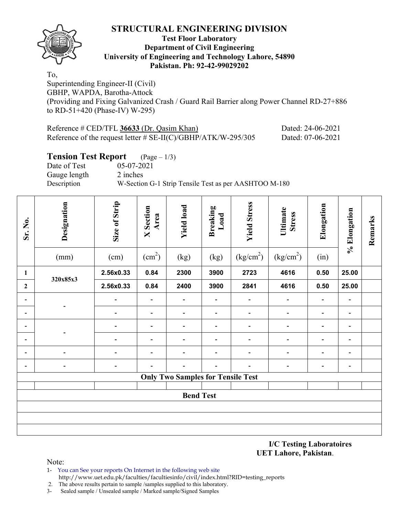

#### **Test Floor Laboratory Department of Civil Engineering University of Engineering and Technology Lahore, 54890 Pakistan. Ph: 92-42-99029202**

To, Superintending Engineer-II (Civil) GBHP, WAPDA, Barotha-Attock (Providing and Fixing Galvanized Crash / Guard Rail Barrier along Power Channel RD-27+886 to RD-51+420 (Phase-IV) W-295)

| Reference $\#$ CED/TFL 36633 (Dr. Qasim Khan)                    | Dated: 24-06-2021 |
|------------------------------------------------------------------|-------------------|
| Reference of the request letter $\#$ SE-II(C)/GBHP/ATK/W-295/305 | Dated: 07-06-2021 |

#### **Tension Test Report** (Page – 1/3)

Date of Test 05-07-2021 Gauge length 2 inches

Description W-Section G-1 Strip Tensile Test as per AASHTOO M-180

| Sr. No.                  | Designation<br>(mm)      | Size of Strip<br>(cm)    | <b>X</b> Section<br>Area<br>$\text{(cm}^2\text{)}$ | <b>Yield load</b><br>(kg)                | <b>Breaking</b><br>Load<br>(kg) | <b>Yield Stress</b><br>(kg/cm <sup>2</sup> ) | Ultimate<br><b>Stress</b><br>(kg/cm <sup>2</sup> ) | Elongation<br>(in)       | % Elongation             | Remarks |  |  |
|--------------------------|--------------------------|--------------------------|----------------------------------------------------|------------------------------------------|---------------------------------|----------------------------------------------|----------------------------------------------------|--------------------------|--------------------------|---------|--|--|
| $\mathbf{1}$             | 320x85x3                 | 2.56x0.33                | 0.84                                               | 2300                                     | 3900                            | 2723                                         | 4616                                               | 0.50                     | 25.00                    |         |  |  |
| $\boldsymbol{2}$         |                          | 2.56x0.33                | 0.84                                               | 2400                                     | 3900                            | 2841                                         | 4616                                               | 0.50                     | 25.00                    |         |  |  |
| $\blacksquare$           |                          | $\overline{\phantom{a}}$ | $\overline{\phantom{a}}$                           | $\overline{\phantom{a}}$                 | $\overline{\phantom{a}}$        | $\blacksquare$                               | $\overline{\phantom{a}}$                           | $\overline{\phantom{a}}$ | $\blacksquare$           |         |  |  |
|                          | $\overline{\phantom{0}}$ | $\overline{\phantom{a}}$ | $\overline{\phantom{a}}$                           | $\overline{\phantom{a}}$                 | $\overline{\phantom{a}}$        | $\blacksquare$                               | $\blacksquare$                                     | $\blacksquare$           | $\overline{\phantom{a}}$ |         |  |  |
|                          |                          | $\overline{\phantom{0}}$ | $\overline{\phantom{a}}$                           | $\overline{\phantom{a}}$                 | $\overline{\phantom{a}}$        | $\blacksquare$                               | $\blacksquare$                                     | $\overline{\phantom{0}}$ | $\blacksquare$           |         |  |  |
|                          | $\overline{\phantom{0}}$ | $\overline{\phantom{0}}$ | $\qquad \qquad \blacksquare$                       | $\overline{\phantom{a}}$                 | $\overline{a}$                  | $\overline{\phantom{a}}$                     | $\overline{a}$                                     | $\blacksquare$           | $\overline{\phantom{a}}$ |         |  |  |
| $\overline{\phantom{a}}$ | $\blacksquare$           | L                        | $\overline{\phantom{a}}$                           | $\overline{\phantom{a}}$                 | $\overline{\phantom{a}}$        | $\overline{\phantom{a}}$                     | -                                                  | $\overline{\phantom{a}}$ | $\blacksquare$           |         |  |  |
|                          | $\blacksquare$           | $\overline{\phantom{a}}$ |                                                    | $\overline{\phantom{a}}$                 | $\overline{\phantom{a}}$        | $\overline{\phantom{a}}$                     | $\overline{a}$                                     | $\overline{\phantom{a}}$ | $\blacksquare$           |         |  |  |
|                          |                          |                          |                                                    | <b>Only Two Samples for Tensile Test</b> |                                 |                                              |                                                    |                          |                          |         |  |  |
|                          |                          |                          |                                                    |                                          |                                 |                                              |                                                    |                          |                          |         |  |  |
| <b>Bend Test</b>         |                          |                          |                                                    |                                          |                                 |                                              |                                                    |                          |                          |         |  |  |
|                          |                          |                          |                                                    |                                          |                                 |                                              |                                                    |                          |                          |         |  |  |
|                          |                          |                          |                                                    |                                          |                                 |                                              |                                                    |                          |                          |         |  |  |
|                          |                          |                          |                                                    |                                          |                                 |                                              |                                                    |                          |                          |         |  |  |

**I/C Testing Laboratoires UET Lahore, Pakistan**.

- 1- You can See your reports On Internet in the following web site http://www.uet.edu.pk/faculties/facultiesinfo/civil/index.html?RID=testing\_reports
- 2. The above results pertain to sample /samples supplied to this laboratory.
- 3- Sealed sample / Unsealed sample / Marked sample/Signed Samples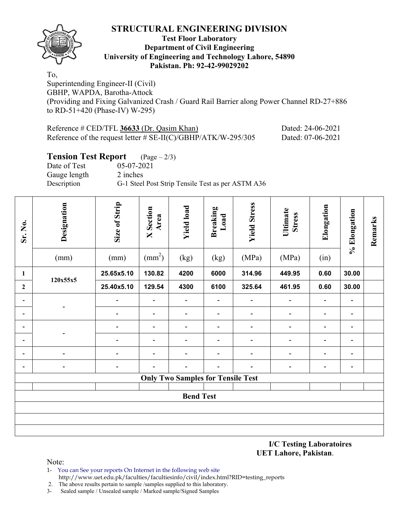

#### **Test Floor Laboratory Department of Civil Engineering University of Engineering and Technology Lahore, 54890 Pakistan. Ph: 92-42-99029202**

To, Superintending Engineer-II (Civil) GBHP, WAPDA, Barotha-Attock (Providing and Fixing Galvanized Crash / Guard Rail Barrier along Power Channel RD-27+886 to RD-51+420 (Phase-IV) W-295)

| Reference $\#$ CED/TFL 36633 (Dr. Qasim Khan)                    | Dated: 24-06-2021 |
|------------------------------------------------------------------|-------------------|
| Reference of the request letter $\#$ SE-II(C)/GBHP/ATK/W-295/305 | Dated: 07-06-2021 |

#### **Tension Test Report** (Page – 2/3)

Date of Test 05-07-2021 Gauge length 2 inches

Description G-1 Steel Post Strip Tensile Test as per ASTM A36

| Sr. No.                      | Designation<br>(mm)      | Size of Strip<br>(mm)        | Section<br>Area<br>$\overline{\mathbf{X}}$<br>$\text{(mm}^2)$ | <b>Yield load</b><br>(kg)                | <b>Breaking</b><br>Load<br>(kg) | <b>Yield Stress</b><br>(MPa) | Ultimate<br><b>Stress</b><br>(MPa) | Elongation<br>(in)       | % Elongation                 | Remarks |  |  |
|------------------------------|--------------------------|------------------------------|---------------------------------------------------------------|------------------------------------------|---------------------------------|------------------------------|------------------------------------|--------------------------|------------------------------|---------|--|--|
| $\mathbf{1}$                 |                          | 25.65x5.10                   | 130.82                                                        | 4200                                     | 6000                            | 314.96                       | 449.95                             | 0.60                     | 30.00                        |         |  |  |
| $\overline{2}$               | 120x55x5                 | 25.40x5.10                   | 129.54                                                        | 4300                                     | 6100                            | 325.64                       | 461.95                             | 0.60                     | 30.00                        |         |  |  |
| $\qquad \qquad \blacksquare$ |                          | $\overline{\phantom{a}}$     | $\overline{\phantom{a}}$                                      | $\blacksquare$                           | $\qquad \qquad \blacksquare$    | $\blacksquare$               | $\blacksquare$                     | $\overline{\phantom{a}}$ | $\overline{\phantom{a}}$     |         |  |  |
| $\qquad \qquad \blacksquare$ |                          | $\overline{\phantom{a}}$     | $\qquad \qquad \blacksquare$                                  | $\qquad \qquad \blacksquare$             | $\qquad \qquad \blacksquare$    | $\qquad \qquad \blacksquare$ | $\blacksquare$                     | $\overline{\phantom{a}}$ | $\blacksquare$               |         |  |  |
| $\qquad \qquad \blacksquare$ |                          | $\overline{\phantom{a}}$     | $\qquad \qquad \blacksquare$                                  | $\qquad \qquad \blacksquare$             | $\overline{\phantom{a}}$        | $\qquad \qquad \blacksquare$ | $\blacksquare$                     | $\overline{\phantom{a}}$ | $\qquad \qquad \blacksquare$ |         |  |  |
| $\qquad \qquad \blacksquare$ |                          | $\qquad \qquad \blacksquare$ | $\overline{\phantom{a}}$                                      | $\overline{\phantom{a}}$                 | $\overline{\phantom{a}}$        | $\qquad \qquad \blacksquare$ | $\qquad \qquad \blacksquare$       | $\blacksquare$           | $\overline{\phantom{a}}$     |         |  |  |
| $\qquad \qquad \blacksquare$ | $\overline{a}$           | $\overline{\phantom{a}}$     | $\overline{\phantom{a}}$                                      | $\qquad \qquad \blacksquare$             | $\qquad \qquad \blacksquare$    | $\qquad \qquad \blacksquare$ | $\qquad \qquad \blacksquare$       | $\overline{\phantom{0}}$ | $\overline{\phantom{0}}$     |         |  |  |
| $\qquad \qquad \blacksquare$ | $\overline{\phantom{a}}$ | $\qquad \qquad \blacksquare$ | $\overline{\phantom{0}}$                                      | -                                        | $\qquad \qquad \blacksquare$    | -                            | $\qquad \qquad \blacksquare$       | $\blacksquare$           | $\qquad \qquad \blacksquare$ |         |  |  |
|                              |                          |                              |                                                               | <b>Only Two Samples for Tensile Test</b> |                                 |                              |                                    |                          |                              |         |  |  |
|                              |                          |                              |                                                               |                                          |                                 |                              |                                    |                          |                              |         |  |  |
| <b>Bend Test</b>             |                          |                              |                                                               |                                          |                                 |                              |                                    |                          |                              |         |  |  |
|                              |                          |                              |                                                               |                                          |                                 |                              |                                    |                          |                              |         |  |  |
|                              |                          |                              |                                                               |                                          |                                 |                              |                                    |                          |                              |         |  |  |
|                              |                          |                              |                                                               |                                          |                                 |                              |                                    |                          |                              |         |  |  |

**I/C Testing Laboratoires UET Lahore, Pakistan**.

- 1- You can See your reports On Internet in the following web site http://www.uet.edu.pk/faculties/facultiesinfo/civil/index.html?RID=testing\_reports
- 2. The above results pertain to sample /samples supplied to this laboratory.
- 3- Sealed sample / Unsealed sample / Marked sample/Signed Samples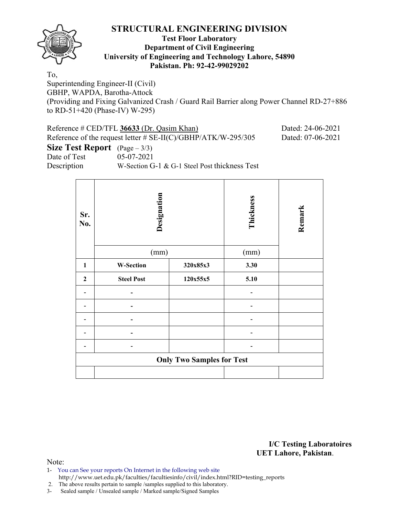

#### **Test Floor Laboratory Department of Civil Engineering University of Engineering and Technology Lahore, 54890 Pakistan. Ph: 92-42-99029202**

To,

Superintending Engineer-II (Civil) GBHP, WAPDA, Barotha-Attock (Providing and Fixing Galvanized Crash / Guard Rail Barrier along Power Channel RD-27+886 to RD-51+420 (Phase-IV) W-295)

| Reference # CED/TFL 36633 (Dr. Qasim Khan)<br>Dated: 24-06-2021                      |                                               |  |  |  |  |  |  |  |  |  |  |
|--------------------------------------------------------------------------------------|-----------------------------------------------|--|--|--|--|--|--|--|--|--|--|
| Reference of the request letter # $SE-II(C)/GBHP/ATK/W-295/305$<br>Dated: 07-06-2021 |                                               |  |  |  |  |  |  |  |  |  |  |
| <b>Size Test Report</b> $(Page - 3/3)$                                               |                                               |  |  |  |  |  |  |  |  |  |  |
| Date of Test                                                                         | 05-07-2021                                    |  |  |  |  |  |  |  |  |  |  |
| Description                                                                          | W-Section G-1 & G-1 Steel Post thickness Test |  |  |  |  |  |  |  |  |  |  |

**Designation Thickness Remark**  Remark **Sr. No.**   $(mm)$  (mm) 1 | W-Section |  $320x85x3$  |  $3.30$ 2 Steel Post 120x55x5 5.10 - **-** - - **-** - - **-** - - **-** - - - - **Only Two Samples for Test**

> **I/C Testing Laboratoires UET Lahore, Pakistan**.

Note:

1- You can See your reports On Internet in the following web site http://www.uet.edu.pk/faculties/facultiesinfo/civil/index.html?RID=testing\_reports

2. The above results pertain to sample /samples supplied to this laboratory.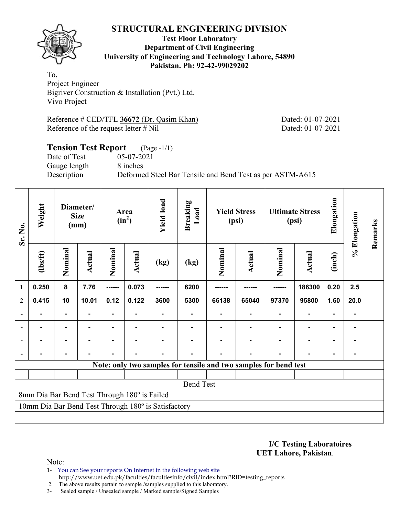

#### **Test Floor Laboratory Department of Civil Engineering University of Engineering and Technology Lahore, 54890 Pakistan. Ph: 92-42-99029202**

To, Project Engineer Bigriver Construction & Installation (Pvt.) Ltd. Vivo Project

Reference # CED/TFL 36672 (Dr. Qasim Khan) Dated: 01-07-2021 Reference of the request letter # Nil Dated: 01-07-2021

### **Tension Test Report** (Page -1/1) Date of Test 05-07-2021 Gauge length 8 inches Description Deformed Steel Bar Tensile and Bend Test as per ASTM-A615

| Sr. No.        | Weight                                              |                | Diameter/<br><b>Size</b><br>(mm) |                |        |      | Area<br>$(in^2)$ | <b>Yield load</b> | <b>Breaking</b><br>Load                                          | <b>Yield Stress</b><br>(psi) |                | <b>Ultimate Stress</b><br>(psi) |      | Elongation | % Elongation | Remarks |
|----------------|-----------------------------------------------------|----------------|----------------------------------|----------------|--------|------|------------------|-------------------|------------------------------------------------------------------|------------------------------|----------------|---------------------------------|------|------------|--------------|---------|
|                | (1bs/ft)                                            | Nominal        | Actual                           | Nominal        | Actual | (kg) | (kg)             | Nominal           | Actual                                                           | Nominal                      | <b>Actual</b>  | (inch)                          |      |            |              |         |
| 1              | 0.250                                               | 8              | 7.76                             | ------         | 0.073  |      | 6200             |                   |                                                                  |                              | 186300         | 0.20                            | 2.5  |            |              |         |
| $\overline{2}$ | 0.415                                               | 10             | 10.01                            | 0.12           | 0.122  | 3600 | 5300             | 66138             | 65040                                                            | 97370                        | 95800          | 1.60                            | 20.0 |            |              |         |
| $\blacksquare$ |                                                     | $\blacksquare$ |                                  |                |        |      |                  |                   |                                                                  |                              | ٠              |                                 |      |            |              |         |
|                | -                                                   | $\blacksquare$ | $\blacksquare$                   | Ξ.             | ۰      |      |                  |                   |                                                                  |                              | ٠              | $\blacksquare$                  |      |            |              |         |
|                |                                                     | $\blacksquare$ |                                  | $\blacksquare$ |        |      |                  |                   |                                                                  |                              | $\blacksquare$ | ۰                               |      |            |              |         |
|                |                                                     | -              |                                  |                |        |      |                  |                   |                                                                  |                              |                |                                 |      |            |              |         |
|                |                                                     |                |                                  |                |        |      |                  |                   | Note: only two samples for tensile and two samples for bend test |                              |                |                                 |      |            |              |         |
|                |                                                     |                |                                  |                |        |      |                  |                   |                                                                  |                              |                |                                 |      |            |              |         |
|                | <b>Bend Test</b>                                    |                |                                  |                |        |      |                  |                   |                                                                  |                              |                |                                 |      |            |              |         |
|                | 8mm Dia Bar Bend Test Through 180° is Failed        |                |                                  |                |        |      |                  |                   |                                                                  |                              |                |                                 |      |            |              |         |
|                | 10mm Dia Bar Bend Test Through 180° is Satisfactory |                |                                  |                |        |      |                  |                   |                                                                  |                              |                |                                 |      |            |              |         |
|                |                                                     |                |                                  |                |        |      |                  |                   |                                                                  |                              |                |                                 |      |            |              |         |

**I/C Testing Laboratoires UET Lahore, Pakistan**.

Note:

- 1- You can See your reports On Internet in the following web site http://www.uet.edu.pk/faculties/facultiesinfo/civil/index.html?RID=testing\_reports
- 2. The above results pertain to sample /samples supplied to this laboratory.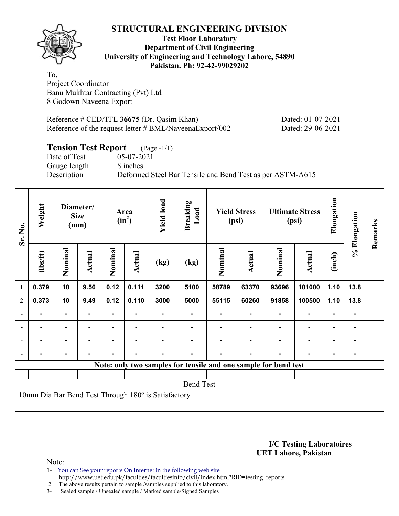

#### **Test Floor Laboratory Department of Civil Engineering University of Engineering and Technology Lahore, 54890 Pakistan. Ph: 92-42-99029202**

To, Project Coordinator Banu Mukhtar Contracting (Pvt) Ltd 8 Godown Naveena Export

Reference # CED/TFL 36675 (Dr. Qasim Khan) Dated: 01-07-2021 Reference of the request letter # BML/NaveenaExport/002 Dated: 29-06-2021

# **Tension Test Report** (Page -1/1)

Date of Test 05-07-2021 Gauge length 8 inches

Description Deformed Steel Bar Tensile and Bend Test as per ASTM-A615

| Weight<br>Sr. No. |                                                     | Diameter/<br><b>Size</b><br>(mm) |        |                | Area<br>$(in^2)$ |      | <b>Breaking</b><br>Load                                         | <b>Yield Stress</b><br>(psi) |        | <b>Ultimate Stress</b><br>(psi) |                          | Elongation     | % Elongation   | Remarks |
|-------------------|-----------------------------------------------------|----------------------------------|--------|----------------|------------------|------|-----------------------------------------------------------------|------------------------------|--------|---------------------------------|--------------------------|----------------|----------------|---------|
|                   | (1bs/ft)                                            | Nominal                          | Actual | Nominal        | <b>Actual</b>    | (kg) | (kg)                                                            | Nominal                      | Actual | Nominal                         | Actual                   | (inch)         |                |         |
| $\mathbf{1}$      | 0.379                                               | 10                               | 9.56   | 0.12           | 0.111            | 3200 | 5100                                                            | 58789                        | 63370  | 93696                           | 101000                   | 1.10           | 13.8           |         |
| $\mathbf{2}$      | 0.373                                               | 10                               | 9.49   | 0.12           | 0.110            | 3000 | 5000                                                            | 55115                        | 60260  | 91858                           | 100500                   | 1.10           | 13.8           |         |
|                   |                                                     |                                  |        |                |                  |      |                                                                 |                              |        |                                 | $\blacksquare$           | $\blacksquare$ |                |         |
|                   | $\blacksquare$                                      | ۰                                |        | ۰              | $\blacksquare$   |      |                                                                 |                              |        |                                 | $\overline{\phantom{a}}$ | $\blacksquare$ |                |         |
|                   | $\blacksquare$                                      | $\blacksquare$                   | -      | $\blacksquare$ | ٠                |      | $\blacksquare$                                                  |                              |        |                                 | $\blacksquare$           | $\blacksquare$ | $\blacksquare$ |         |
|                   |                                                     | ٠                                |        |                | $\blacksquare$   |      |                                                                 |                              | -      |                                 | $\blacksquare$           | $\blacksquare$ |                |         |
|                   |                                                     |                                  |        |                |                  |      | Note: only two samples for tensile and one sample for bend test |                              |        |                                 |                          |                |                |         |
|                   |                                                     |                                  |        |                |                  |      |                                                                 |                              |        |                                 |                          |                |                |         |
|                   | <b>Bend Test</b>                                    |                                  |        |                |                  |      |                                                                 |                              |        |                                 |                          |                |                |         |
|                   | 10mm Dia Bar Bend Test Through 180° is Satisfactory |                                  |        |                |                  |      |                                                                 |                              |        |                                 |                          |                |                |         |
|                   |                                                     |                                  |        |                |                  |      |                                                                 |                              |        |                                 |                          |                |                |         |
|                   |                                                     |                                  |        |                |                  |      |                                                                 |                              |        |                                 |                          |                |                |         |

**I/C Testing Laboratoires UET Lahore, Pakistan**.

- 1- You can See your reports On Internet in the following web site http://www.uet.edu.pk/faculties/facultiesinfo/civil/index.html?RID=testing\_reports
- 2. The above results pertain to sample /samples supplied to this laboratory.
- 3- Sealed sample / Unsealed sample / Marked sample/Signed Samples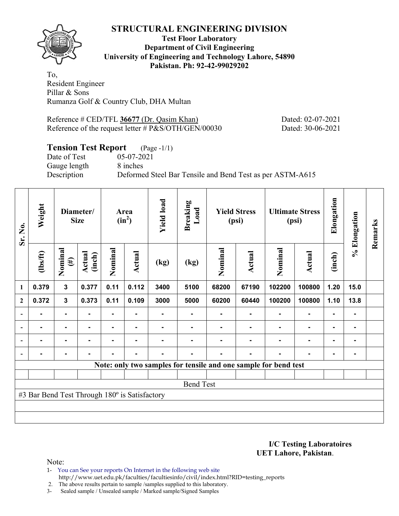

#### **Test Floor Laboratory Department of Civil Engineering University of Engineering and Technology Lahore, 54890 Pakistan. Ph: 92-42-99029202**

To, Resident Engineer Pillar & Sons Rumanza Golf & Country Club, DHA Multan

Reference # CED/TFL 36677 (Dr. Qasim Khan) Dated: 02-07-2021 Reference of the request letter # P&S/OTH/GEN/00030 Dated: 30-06-2021

### **Tension Test Report** (Page -1/1)

Gauge length 8 inches

Date of Test 05-07-2021 Description Deformed Steel Bar Tensile and Bend Test as per ASTM-A615

| Sr. No.      | Weight                                        | Diameter/<br><b>Size</b> |                  | Area<br>$(in^2)$ |                | <b>Yield load</b> | <b>Breaking</b><br>Load | <b>Yield Stress</b><br>(psi) |        | <b>Ultimate Stress</b><br>(psi)                                 |                          | Elongation     | % Elongation   | Remarks |
|--------------|-----------------------------------------------|--------------------------|------------------|------------------|----------------|-------------------|-------------------------|------------------------------|--------|-----------------------------------------------------------------|--------------------------|----------------|----------------|---------|
| 1            | $\frac{2}{10}$                                | Nominal<br>$(\#)$        | Actual<br>(inch) | Nominal          | <b>Actual</b>  | (kg)              | (kg)                    | Nominal                      | Actual | Nominal                                                         | Actual                   | (inch)         |                |         |
|              | 0.379                                         | $\mathbf{3}$             | 0.377            | 0.11             | 0.112          | 3400              | 5100                    | 68200                        | 67190  | 102200                                                          | 100800                   | 1.20           | 15.0           |         |
| $\mathbf{2}$ | 0.372                                         | $\mathbf{3}$             | 0.373            | 0.11             | 0.109          | 3000              | 5000                    | 60200                        | 60440  | 100200                                                          | 100800                   | 1.10           | 13.8           |         |
|              |                                               |                          |                  |                  |                |                   |                         |                              |        |                                                                 |                          |                |                |         |
|              |                                               | $\blacksquare$           |                  |                  |                |                   |                         |                              |        |                                                                 | $\blacksquare$           | $\blacksquare$ | $\blacksquare$ |         |
|              |                                               | $\blacksquare$           |                  |                  | -              |                   |                         |                              |        |                                                                 | $\blacksquare$           | $\blacksquare$ |                |         |
|              |                                               | $\blacksquare$           |                  | $\blacksquare$   | $\blacksquare$ |                   |                         |                              | -      |                                                                 | $\overline{\phantom{a}}$ | $\blacksquare$ |                |         |
|              |                                               |                          |                  |                  |                |                   |                         |                              |        | Note: only two samples for tensile and one sample for bend test |                          |                |                |         |
|              |                                               |                          |                  |                  |                |                   |                         |                              |        |                                                                 |                          |                |                |         |
|              | <b>Bend Test</b>                              |                          |                  |                  |                |                   |                         |                              |        |                                                                 |                          |                |                |         |
|              | #3 Bar Bend Test Through 180° is Satisfactory |                          |                  |                  |                |                   |                         |                              |        |                                                                 |                          |                |                |         |
|              |                                               |                          |                  |                  |                |                   |                         |                              |        |                                                                 |                          |                |                |         |
|              |                                               |                          |                  |                  |                |                   |                         |                              |        |                                                                 |                          |                |                |         |

**I/C Testing Laboratoires UET Lahore, Pakistan**.

Note:

1- You can See your reports On Internet in the following web site http://www.uet.edu.pk/faculties/facultiesinfo/civil/index.html?RID=testing\_reports

2. The above results pertain to sample /samples supplied to this laboratory.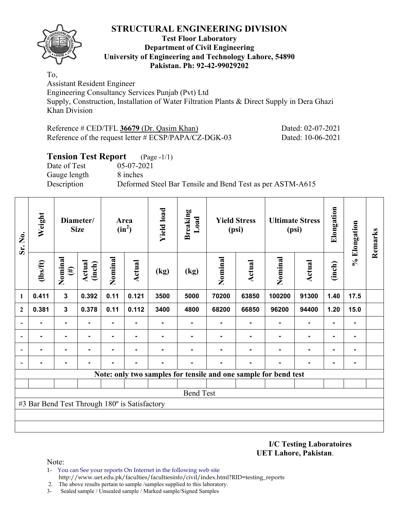

#### **Test Floor Laboratory Department of Civil Engineering University of Engineering and Technology Lahore, 54890 Pakistan. Ph: 92-42-99029202**

To, Assistant Resident Engineer

Engineering Consultancy Services Punjab (Pvt) Ltd Supply, Construction, Installation of Water Filtration Plants & Direct Supply in Dera Ghazi Khan Division

| Reference $\#$ CED/TFL 36679 (Dr. Qasim Khan)            | Dated: 02-07-2021 |
|----------------------------------------------------------|-------------------|
| Reference of the request letter $\# ECSP/PAPA/CZ-DGK-03$ | Dated: 10-06-2021 |

### **Tension Test Report** (Page -1/1)

Date of Test 05-07-2021 Gauge length 8 inches

Description Deformed Steel Bar Tensile and Bend Test as per ASTM-A615

| Sr. No.      | Weight                                        | Diameter/<br><b>Size</b> |                  | Area<br>$(in^2)$ |                | <b>Yield load</b> | <b>Breaking</b><br>Load | <b>Yield Stress</b><br>(psi) |               | <b>Ultimate Stress</b><br>(psi)                                 |        | Elongation     | % Elongation   | Remarks |
|--------------|-----------------------------------------------|--------------------------|------------------|------------------|----------------|-------------------|-------------------------|------------------------------|---------------|-----------------------------------------------------------------|--------|----------------|----------------|---------|
| 1            | $\frac{2}{10}$                                | Nominal<br>$(\#)$        | Actual<br>(inch) | Nominal          | Actual         | (kg)              | (kg)                    | Nominal                      | <b>Actual</b> | Nominal                                                         | Actual | (inch)         |                |         |
|              | 0.411                                         | $\mathbf{3}$             | 0.392            | 0.11             | 0.121          | 3500              | 5000                    | 70200                        | 63850         | 100200                                                          | 91300  | 1.40           | 17.5           |         |
| $\mathbf{2}$ | 0.381                                         | $\mathbf{3}$             | 0.378            | 0.11             | 0.112          | 3400              | 4800                    | 68200                        | 66850         | 96200                                                           | 94400  | 1.20           | 15.0           |         |
|              |                                               | $\blacksquare$           |                  | $\blacksquare$   | ۰              |                   |                         |                              |               |                                                                 |        |                | ۰              |         |
|              |                                               | ٠                        |                  |                  | ۰              |                   |                         |                              |               |                                                                 |        |                | ۰              |         |
|              |                                               | $\blacksquare$           |                  | -                |                |                   |                         |                              |               |                                                                 |        | ۰              | $\blacksquare$ |         |
|              |                                               |                          |                  |                  | $\blacksquare$ |                   | ۰                       |                              |               |                                                                 |        | $\blacksquare$ | ۰              |         |
|              |                                               |                          |                  |                  |                |                   |                         |                              |               | Note: only two samples for tensile and one sample for bend test |        |                |                |         |
|              |                                               |                          |                  |                  |                |                   |                         |                              |               |                                                                 |        |                |                |         |
|              | <b>Bend Test</b>                              |                          |                  |                  |                |                   |                         |                              |               |                                                                 |        |                |                |         |
|              | #3 Bar Bend Test Through 180° is Satisfactory |                          |                  |                  |                |                   |                         |                              |               |                                                                 |        |                |                |         |
|              |                                               |                          |                  |                  |                |                   |                         |                              |               |                                                                 |        |                |                |         |
|              |                                               |                          |                  |                  |                |                   |                         |                              |               |                                                                 |        |                |                |         |

**I/C Testing Laboratoires UET Lahore, Pakistan**.

- 1- You can See your reports On Internet in the following web site http://www.uet.edu.pk/faculties/facultiesinfo/civil/index.html?RID=testing\_reports
- 2. The above results pertain to sample /samples supplied to this laboratory.
- 3- Sealed sample / Unsealed sample / Marked sample/Signed Samples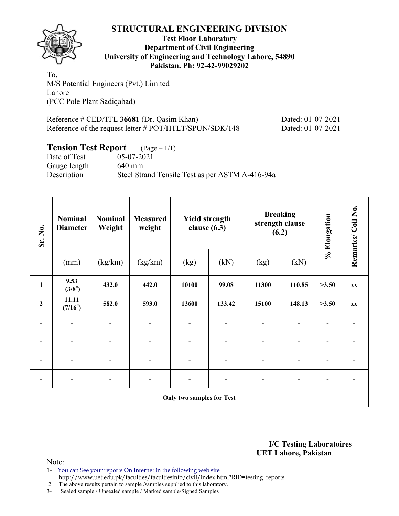

#### **Test Floor Laboratory Department of Civil Engineering University of Engineering and Technology Lahore, 54890 Pakistan. Ph: 92-42-99029202**

To, M/S Potential Engineers (Pvt.) Limited Lahore (PCC Pole Plant Sadiqabad)

Reference # CED/TFL 36681 (Dr. Qasim Khan) Dated: 01-07-2021 Reference of the request letter # POT/HTLT/SPUN/SDK/148 Dated: 01-07-2021

#### **Tension Test Report** (Page – 1/1)

Date of Test 05-07-2021 Gauge length 640 mm Description Steel Strand Tensile Test as per ASTM A-416-94a

| Sr. No.          | <b>Nominal</b><br><b>Diameter</b>                                                                                                                                   | <b>Nominal</b><br>Weight | <b>Measured</b><br>weight | <b>Yield strength</b><br>clause $(6.3)$ |        | <b>Breaking</b><br>strength clause<br>(6.2) |        | % Elongation             | Remarks/Coil No. |  |  |  |  |
|------------------|---------------------------------------------------------------------------------------------------------------------------------------------------------------------|--------------------------|---------------------------|-----------------------------------------|--------|---------------------------------------------|--------|--------------------------|------------------|--|--|--|--|
|                  | (mm)                                                                                                                                                                | (kg/km)                  | (kg/km)                   | (kg)                                    | (kN)   | (kg)                                        | (kN)   |                          |                  |  |  |  |  |
| $\mathbf{1}$     | 9.53<br>(3/8")                                                                                                                                                      | 432.0                    | 442.0                     | 10100                                   | 99.08  | 11300                                       | 110.85 | >3.50                    | <b>XX</b>        |  |  |  |  |
| $\boldsymbol{2}$ | 11.11<br>(7/16")                                                                                                                                                    | 582.0                    | 593.0                     | 13600                                   | 133.42 | 15100                                       | 148.13 | >3.50                    | <b>XX</b>        |  |  |  |  |
|                  | $\blacksquare$                                                                                                                                                      |                          | $\overline{\phantom{a}}$  | $\qquad \qquad \blacksquare$            | -      | ۰                                           |        | $\overline{\phantom{a}}$ |                  |  |  |  |  |
|                  |                                                                                                                                                                     |                          | $\overline{\phantom{a}}$  |                                         |        |                                             |        | $\overline{\phantom{0}}$ |                  |  |  |  |  |
|                  | $\overline{\phantom{0}}$                                                                                                                                            |                          | $\overline{\phantom{a}}$  | $\overline{\phantom{0}}$                |        |                                             |        | $\overline{\phantom{0}}$ |                  |  |  |  |  |
|                  | $\blacksquare$<br>$\overline{\phantom{a}}$<br>$\qquad \qquad \blacksquare$<br>$\overline{\phantom{0}}$<br>$\overline{\phantom{0}}$<br>$\overline{\phantom{0}}$<br>- |                          |                           |                                         |        |                                             |        |                          |                  |  |  |  |  |
|                  | Only two samples for Test                                                                                                                                           |                          |                           |                                         |        |                                             |        |                          |                  |  |  |  |  |

**I/C Testing Laboratoires UET Lahore, Pakistan**.

- 1- You can See your reports On Internet in the following web site http://www.uet.edu.pk/faculties/facultiesinfo/civil/index.html?RID=testing\_reports
- 2. The above results pertain to sample /samples supplied to this laboratory.
- 3- Sealed sample / Unsealed sample / Marked sample/Signed Samples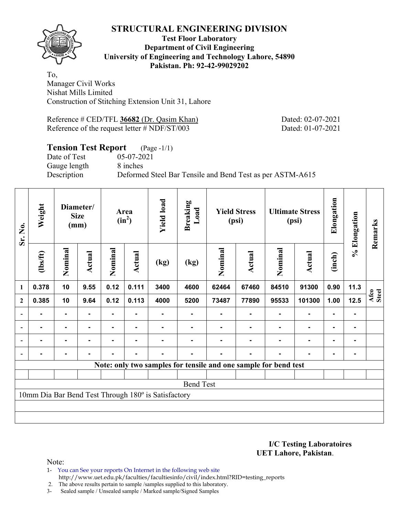

#### **Test Floor Laboratory Department of Civil Engineering University of Engineering and Technology Lahore, 54890 Pakistan. Ph: 92-42-99029202**

To, Manager Civil Works Nishat Mills Limited Construction of Stitching Extension Unit 31, Lahore

Reference # CED/TFL 36682 (Dr. Qasim Khan) Dated: 02-07-2021 Reference of the request letter # NDF/ST/003 Dated: 01-07-2021

### **Tension Test Report** (Page -1/1)

Date of Test 05-07-2021 Gauge length 8 inches

Description Deformed Steel Bar Tensile and Bend Test as per ASTM-A615

| Sr. No.          | Weight                                                          |                | Diameter/<br><b>Size</b><br>(mm) |                | Area<br>$(in^2)$ | <b>Yield load</b>                                   | <b>Breaking</b><br>Load |         | <b>Yield Stress</b><br>(psi) |         | <b>Ultimate Stress</b><br>(psi) | Elongation     | % Elongation   | Remarks       |
|------------------|-----------------------------------------------------------------|----------------|----------------------------------|----------------|------------------|-----------------------------------------------------|-------------------------|---------|------------------------------|---------|---------------------------------|----------------|----------------|---------------|
|                  | (1bs/ft)                                                        | Nominal        | Actual                           | Nominal        | Actual           | (kg)                                                | (kg)                    | Nominal | Actual                       | Nominal | <b>Actual</b>                   | (inch)         |                |               |
| $\mathbf{1}$     | 0.378                                                           | 10             | 9.55                             | 0.12           | 0.111            | 3400                                                | 4600                    | 62464   | 67460                        | 84510   | 91300                           | 0.90           | 11.3           |               |
| $\mathbf{2}$     | 0.385                                                           | 10             | 9.64                             | 0.12           | 0.113            | 4000                                                | 5200                    | 73487   | 77890                        | 95533   | 101300                          | 1.00           | 12.5           | Afco<br>Steel |
| $\blacksquare$   |                                                                 | ۰              |                                  |                |                  |                                                     |                         |         |                              |         |                                 | ۰              |                |               |
| $\blacksquare$   | $\blacksquare$                                                  |                | ۰.                               | ۰              |                  |                                                     |                         |         |                              |         | ٠                               | $\blacksquare$ |                |               |
| $\blacksquare$   | $\blacksquare$                                                  | $\blacksquare$ | ۰                                | Ξ.             | $\blacksquare$   | -                                                   |                         |         |                              | ۰       | $\blacksquare$                  | $\blacksquare$ | $\blacksquare$ |               |
|                  |                                                                 | $\blacksquare$ |                                  | $\blacksquare$ | $\blacksquare$   |                                                     |                         |         | -                            |         | $\blacksquare$                  | $\blacksquare$ |                |               |
|                  | Note: only two samples for tensile and one sample for bend test |                |                                  |                |                  |                                                     |                         |         |                              |         |                                 |                |                |               |
|                  |                                                                 |                |                                  |                |                  |                                                     |                         |         |                              |         |                                 |                |                |               |
| <b>Bend Test</b> |                                                                 |                |                                  |                |                  |                                                     |                         |         |                              |         |                                 |                |                |               |
|                  |                                                                 |                |                                  |                |                  | 10mm Dia Bar Bend Test Through 180° is Satisfactory |                         |         |                              |         |                                 |                |                |               |
|                  |                                                                 |                |                                  |                |                  |                                                     |                         |         |                              |         |                                 |                |                |               |
|                  |                                                                 |                |                                  |                |                  |                                                     |                         |         |                              |         |                                 |                |                |               |

**I/C Testing Laboratoires UET Lahore, Pakistan**.

- 1- You can See your reports On Internet in the following web site http://www.uet.edu.pk/faculties/facultiesinfo/civil/index.html?RID=testing\_reports
- 2. The above results pertain to sample /samples supplied to this laboratory.
- 3- Sealed sample / Unsealed sample / Marked sample/Signed Samples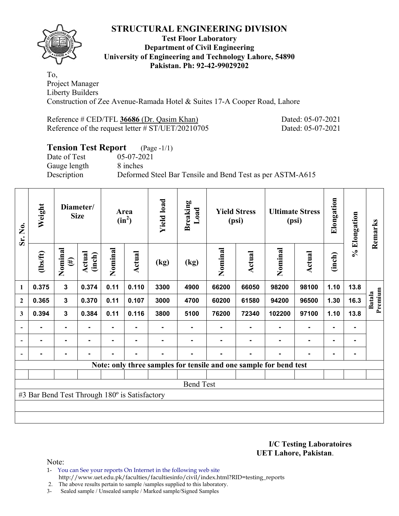

#### **Test Floor Laboratory Department of Civil Engineering University of Engineering and Technology Lahore, 54890 Pakistan. Ph: 92-42-99029202**

To, Project Manager Liberty Builders Construction of Zee Avenue-Ramada Hotel & Suites 17-A Cooper Road, Lahore

| Reference # CED/TFL 36686 (Dr. Qasim Khan)           |
|------------------------------------------------------|
| Reference of the request letter $\# ST/UET/20210705$ |

Dated: 05-07-2021 Dated: 05-07-2021

# **Tension Test Report** (Page -1/1)

Date of Test 05-07-2021 Gauge length 8 inches

Description Deformed Steel Bar Tensile and Bend Test as per ASTM-A615

| Sr. No.                                       | Weight         |                   | Diameter/<br><b>Size</b> |                | Area<br>$(in^2)$ | <b>Yield load</b> | <b>Breaking</b><br>Load |         | <b>Yield Stress</b><br>(psi) |                                                                   | <b>Ultimate Stress</b><br>(psi) | Elongation     | % Elongation | Remarks                  |
|-----------------------------------------------|----------------|-------------------|--------------------------|----------------|------------------|-------------------|-------------------------|---------|------------------------------|-------------------------------------------------------------------|---------------------------------|----------------|--------------|--------------------------|
|                                               | $\frac{2}{10}$ | Nominal<br>$(\#)$ | Actual<br>(inch)         | Nominal        | Actual           | (kg)              | (kg)                    | Nominal | Actual                       | Nominal                                                           | Actual                          | (inch)         |              |                          |
| 1                                             | 0.375          | $\mathbf 3$       | 0.374                    | 0.11           | 0.110            | 3300              | 4900                    | 66200   | 66050                        | 98200                                                             | 98100                           | 1.10           | 13.8         |                          |
| $\overline{2}$                                | 0.365          | $\mathbf{3}$      | 0.370                    | 0.11           | 0.107            | 3000              | 4700                    | 60200   | 61580                        | 94200                                                             | 96500                           | 1.30           | 16.3         | Premium<br><b>Batala</b> |
| 3                                             | 0.394          | $\mathbf{3}$      | 0.384                    | 0.11           | 0.116            | 3800              | 5100                    | 76200   | 72340                        | 102200                                                            | 97100                           | 1.10           | 13.8         |                          |
|                                               |                | $\blacksquare$    |                          |                |                  |                   |                         |         |                              |                                                                   |                                 | $\blacksquare$ |              |                          |
|                                               | $\blacksquare$ | $\blacksquare$    |                          | $\blacksquare$ | $\blacksquare$   |                   |                         |         |                              |                                                                   | $\overline{\phantom{0}}$        | $\blacksquare$ |              |                          |
|                                               |                | $\blacksquare$    |                          | -              | $\blacksquare$   |                   | -                       |         | $\blacksquare$               |                                                                   | $\overline{\phantom{a}}$        | $\blacksquare$ |              |                          |
|                                               |                |                   |                          |                |                  |                   |                         |         |                              | Note: only three samples for tensile and one sample for bend test |                                 |                |              |                          |
|                                               |                |                   |                          |                |                  |                   |                         |         |                              |                                                                   |                                 |                |              |                          |
| <b>Bend Test</b>                              |                |                   |                          |                |                  |                   |                         |         |                              |                                                                   |                                 |                |              |                          |
| #3 Bar Bend Test Through 180° is Satisfactory |                |                   |                          |                |                  |                   |                         |         |                              |                                                                   |                                 |                |              |                          |
|                                               |                |                   |                          |                |                  |                   |                         |         |                              |                                                                   |                                 |                |              |                          |
|                                               |                |                   |                          |                |                  |                   |                         |         |                              |                                                                   |                                 |                |              |                          |

**I/C Testing Laboratoires UET Lahore, Pakistan**.

Note:

1- You can See your reports On Internet in the following web site http://www.uet.edu.pk/faculties/facultiesinfo/civil/index.html?RID=testing\_reports

2. The above results pertain to sample /samples supplied to this laboratory.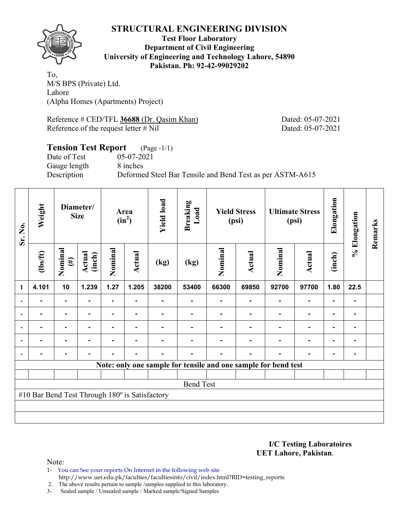

**Test Floor Laboratory Department of Civil Engineering University of Engineering and Technology Lahore, 54890 Pakistan. Ph: 92-42-99029202** 

To, M/S BPS (Private) Ltd. Lahore (Alpha Homes (Apartments) Project)

Reference # CED/TFL 36688 (Dr. Qasim Khan) Dated: 05-07-2021 Reference of the request letter # Nil Dated: 05-07-2021

# **Tension Test Report** (Page -1/1)

Date of Test 05-07-2021 Gauge length 8 inches

Description Deformed Steel Bar Tensile and Bend Test as per ASTM-A615

| Sr. No.          | Weight                                         |                   | Diameter/<br><b>Size</b> |                | Area<br>$(in^2)$ | <b>Yield load</b> | <b>Breaking</b><br>Load |         | <b>Yield Stress</b><br>(psi)                                   |                | <b>Ultimate Stress</b><br>(psi) | Elongation     | % Elongation | Remarks |
|------------------|------------------------------------------------|-------------------|--------------------------|----------------|------------------|-------------------|-------------------------|---------|----------------------------------------------------------------|----------------|---------------------------------|----------------|--------------|---------|
|                  | $\frac{2}{10}$                                 | Nominal<br>$(\#)$ | Actual<br>(inch)         | Nominal        | <b>Actual</b>    | (kg)              | (kg)                    | Nominal | Actual                                                         | Nominal        | Actual                          | (inch)         |              |         |
| 1                | 4.101                                          | 10                | 1.239                    | 1.27           | 1.205            | 38200             | 53400                   | 66300   | 69850                                                          | 92700          | 97700                           | 1.80           | 22.5         |         |
|                  | $\blacksquare$                                 | $\blacksquare$    | $\blacksquare$           | $\blacksquare$ | $\blacksquare$   |                   | ٠                       | ۰       | $\blacksquare$                                                 | $\blacksquare$ | $\blacksquare$                  | $\blacksquare$ |              |         |
|                  |                                                |                   |                          |                |                  |                   |                         |         |                                                                |                | $\blacksquare$                  | ٠              |              |         |
|                  |                                                | $\blacksquare$    |                          |                |                  |                   |                         |         |                                                                |                | ٠                               | $\blacksquare$ |              |         |
|                  |                                                | ۰                 |                          |                |                  |                   |                         |         |                                                                |                | $\blacksquare$                  | $\blacksquare$ |              |         |
|                  |                                                | $\blacksquare$    |                          |                | $\blacksquare$   |                   |                         |         |                                                                |                | $\overline{\phantom{a}}$        | $\blacksquare$ |              |         |
|                  |                                                |                   |                          |                |                  |                   |                         |         | Note: only one sample for tensile and one sample for bend test |                |                                 |                |              |         |
|                  |                                                |                   |                          |                |                  |                   |                         |         |                                                                |                |                                 |                |              |         |
| <b>Bend Test</b> |                                                |                   |                          |                |                  |                   |                         |         |                                                                |                |                                 |                |              |         |
|                  | #10 Bar Bend Test Through 180° is Satisfactory |                   |                          |                |                  |                   |                         |         |                                                                |                |                                 |                |              |         |
|                  |                                                |                   |                          |                |                  |                   |                         |         |                                                                |                |                                 |                |              |         |
|                  |                                                |                   |                          |                |                  |                   |                         |         |                                                                |                |                                 |                |              |         |

**I/C Testing Laboratoires UET Lahore, Pakistan**.

Note:

1- You can See your reports On Internet in the following web site http://www.uet.edu.pk/faculties/facultiesinfo/civil/index.html?RID=testing\_reports

2. The above results pertain to sample /samples supplied to this laboratory.